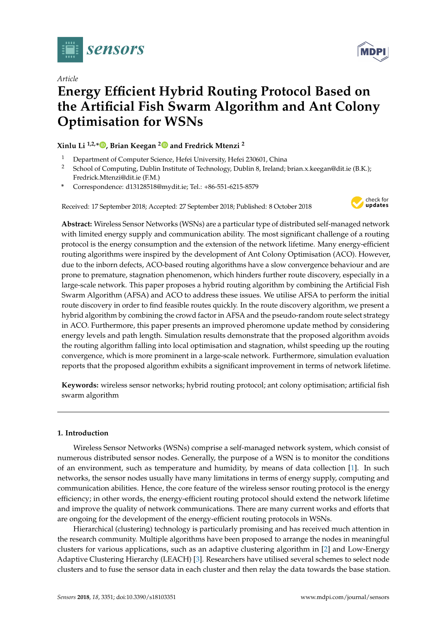

*Article*



# **Energy Efficient Hybrid Routing Protocol Based on the Artificial Fish Swarm Algorithm and Ant Colony Optimisation for WSNs**

# **Xinlu Li 1,2,[\\*](https://orcid.org/0000-0002-3806-3993) , Brian Keegan [2](https://orcid.org/0000-0003-0445-108X) and Fredrick Mtenzi <sup>2</sup>**

- <sup>1</sup> Department of Computer Science, Hefei University, Hefei 230601, China
- <sup>2</sup> School of Computing, Dublin Institute of Technology, Dublin 8, Ireland; brian.x.keegan@dit.ie (B.K.); Fredrick.Mtenzi@dit.ie (F.M.)
- **\*** Correspondence: d13128518@mydit.ie; Tel.: +86-551-6215-8579

Received: 17 September 2018; Accepted: 27 September 2018; Published: 8 October 2018



**Abstract:** Wireless Sensor Networks (WSNs) are a particular type of distributed self-managed network with limited energy supply and communication ability. The most significant challenge of a routing protocol is the energy consumption and the extension of the network lifetime. Many energy-efficient routing algorithms were inspired by the development of Ant Colony Optimisation (ACO). However, due to the inborn defects, ACO-based routing algorithms have a slow convergence behaviour and are prone to premature, stagnation phenomenon, which hinders further route discovery, especially in a large-scale network. This paper proposes a hybrid routing algorithm by combining the Artificial Fish Swarm Algorithm (AFSA) and ACO to address these issues. We utilise AFSA to perform the initial route discovery in order to find feasible routes quickly. In the route discovery algorithm, we present a hybrid algorithm by combining the crowd factor in AFSA and the pseudo-random route select strategy in ACO. Furthermore, this paper presents an improved pheromone update method by considering energy levels and path length. Simulation results demonstrate that the proposed algorithm avoids the routing algorithm falling into local optimisation and stagnation, whilst speeding up the routing convergence, which is more prominent in a large-scale network. Furthermore, simulation evaluation reports that the proposed algorithm exhibits a significant improvement in terms of network lifetime.

**Keywords:** wireless sensor networks; hybrid routing protocol; ant colony optimisation; artificial fish swarm algorithm

# **1. Introduction**

Wireless Sensor Networks (WSNs) comprise a self-managed network system, which consist of numerous distributed sensor nodes. Generally, the purpose of a WSN is to monitor the conditions of an environment, such as temperature and humidity, by means of data collection [\[1\]](#page-15-0). In such networks, the sensor nodes usually have many limitations in terms of energy supply, computing and communication abilities. Hence, the core feature of the wireless sensor routing protocol is the energy efficiency; in other words, the energy-efficient routing protocol should extend the network lifetime and improve the quality of network communications. There are many current works and efforts that are ongoing for the development of the energy-efficient routing protocols in WSNs.

Hierarchical (clustering) technology is particularly promising and has received much attention in the research community. Multiple algorithms have been proposed to arrange the nodes in meaningful clusters for various applications, such as an adaptive clustering algorithm in [\[2\]](#page-15-1) and Low-Energy Adaptive Clustering Hierarchy (LEACH) [\[3\]](#page-15-2). Researchers have utilised several schemes to select node clusters and to fuse the sensor data in each cluster and then relay the data towards the base station.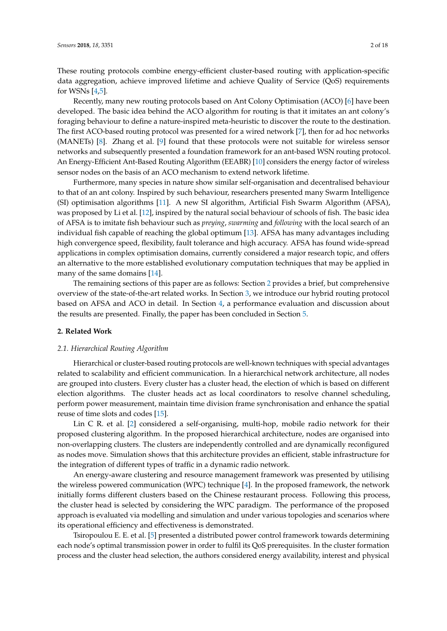These routing protocols combine energy-efficient cluster-based routing with application-specific data aggregation, achieve improved lifetime and achieve Quality of Service (QoS) requirements for WSNs  $[4,5]$  $[4,5]$ .

Recently, many new routing protocols based on Ant Colony Optimisation (ACO) [\[6\]](#page-15-5) have been developed. The basic idea behind the ACO algorithm for routing is that it imitates an ant colony's foraging behaviour to define a nature-inspired meta-heuristic to discover the route to the destination. The first ACO-based routing protocol was presented for a wired network [\[7\]](#page-15-6), then for ad hoc networks (MANETs) [\[8\]](#page-15-7). Zhang et al. [\[9\]](#page-15-8) found that these protocols were not suitable for wireless sensor networks and subsequently presented a foundation framework for an ant-based WSN routing protocol. An Energy-Efficient Ant-Based Routing Algorithm (EEABR) [\[10\]](#page-15-9) considers the energy factor of wireless sensor nodes on the basis of an ACO mechanism to extend network lifetime.

Furthermore, many species in nature show similar self-organisation and decentralised behaviour to that of an ant colony. Inspired by such behaviour, researchers presented many Swarm Intelligence (SI) optimisation algorithms [\[11\]](#page-15-10). A new SI algorithm, Artificial Fish Swarm Algorithm (AFSA), was proposed by Li et al. [\[12\]](#page-15-11), inspired by the natural social behaviour of schools of fish. The basic idea of AFSA is to imitate fish behaviour such as *preying*, *swarming* and *following* with the local search of an individual fish capable of reaching the global optimum [\[13\]](#page-15-12). AFSA has many advantages including high convergence speed, flexibility, fault tolerance and high accuracy. AFSA has found wide-spread applications in complex optimisation domains, currently considered a major research topic, and offers an alternative to the more established evolutionary computation techniques that may be applied in many of the same domains [\[14\]](#page-15-13).

The remaining sections of this paper are as follows: Section [2](#page-1-0) provides a brief, but comprehensive overview of the state-of-the-art related works. In Section [3,](#page-4-0) we introduce our hybrid routing protocol based on AFSA and ACO in detail. In Section [4,](#page-8-0) a performance evaluation and discussion about the results are presented. Finally, the paper has been concluded in Section [5.](#page-14-0)

# <span id="page-1-0"></span>**2. Related Work**

#### *2.1. Hierarchical Routing Algorithm*

Hierarchical or cluster-based routing protocols are well-known techniques with special advantages related to scalability and efficient communication. In a hierarchical network architecture, all nodes are grouped into clusters. Every cluster has a cluster head, the election of which is based on different election algorithms. The cluster heads act as local coordinators to resolve channel scheduling, perform power measurement, maintain time division frame synchronisation and enhance the spatial reuse of time slots and codes [\[15\]](#page-15-14).

Lin C R. et al. [\[2\]](#page-15-1) considered a self-organising, multi-hop, mobile radio network for their proposed clustering algorithm. In the proposed hierarchical architecture, nodes are organised into non-overlapping clusters. The clusters are independently controlled and are dynamically reconfigured as nodes move. Simulation shows that this architecture provides an efficient, stable infrastructure for the integration of different types of traffic in a dynamic radio network.

An energy-aware clustering and resource management framework was presented by utilising the wireless powered communication (WPC) technique [\[4\]](#page-15-3). In the proposed framework, the network initially forms different clusters based on the Chinese restaurant process. Following this process, the cluster head is selected by considering the WPC paradigm. The performance of the proposed approach is evaluated via modelling and simulation and under various topologies and scenarios where its operational efficiency and effectiveness is demonstrated.

Tsiropoulou E. E. et al. [\[5\]](#page-15-4) presented a distributed power control framework towards determining each node's optimal transmission power in order to fulfil its QoS prerequisites. In the cluster formation process and the cluster head selection, the authors considered energy availability, interest and physical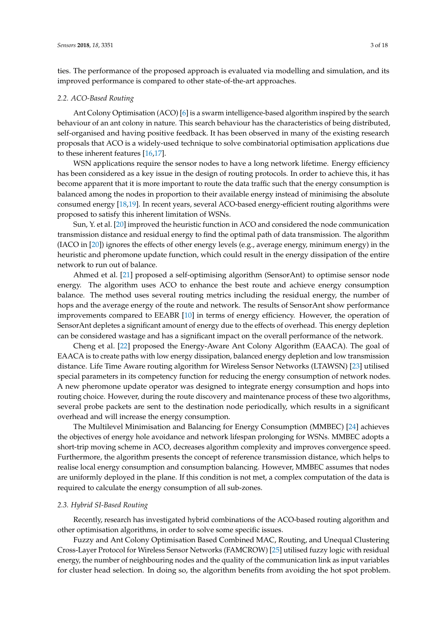ties. The performance of the proposed approach is evaluated via modelling and simulation, and its improved performance is compared to other state-of-the-art approaches.

#### *2.2. ACO-Based Routing*

Ant Colony Optimisation (ACO) [\[6\]](#page-15-5) is a swarm intelligence-based algorithm inspired by the search behaviour of an ant colony in nature. This search behaviour has the characteristics of being distributed, self-organised and having positive feedback. It has been observed in many of the existing research proposals that ACO is a widely-used technique to solve combinatorial optimisation applications due to these inherent features [\[16,](#page-15-15)[17\]](#page-15-16).

WSN applications require the sensor nodes to have a long network lifetime. Energy efficiency has been considered as a key issue in the design of routing protocols. In order to achieve this, it has become apparent that it is more important to route the data traffic such that the energy consumption is balanced among the nodes in proportion to their available energy instead of minimising the absolute consumed energy [\[18](#page-16-0)[,19\]](#page-16-1). In recent years, several ACO-based energy-efficient routing algorithms were proposed to satisfy this inherent limitation of WSNs.

Sun, Y. et al. [\[20\]](#page-16-2) improved the heuristic function in ACO and considered the node communication transmission distance and residual energy to find the optimal path of data transmission. The algorithm (IACO in [\[20\]](#page-16-2)) ignores the effects of other energy levels (e.g., average energy, minimum energy) in the heuristic and pheromone update function, which could result in the energy dissipation of the entire network to run out of balance.

Ahmed et al. [\[21\]](#page-16-3) proposed a self-optimising algorithm (SensorAnt) to optimise sensor node energy. The algorithm uses ACO to enhance the best route and achieve energy consumption balance. The method uses several routing metrics including the residual energy, the number of hops and the average energy of the route and network. The results of SensorAnt show performance improvements compared to EEABR [\[10\]](#page-15-9) in terms of energy efficiency. However, the operation of SensorAnt depletes a significant amount of energy due to the effects of overhead. This energy depletion can be considered wastage and has a significant impact on the overall performance of the network.

Cheng et al. [\[22\]](#page-16-4) proposed the Energy-Aware Ant Colony Algorithm (EAACA). The goal of EAACA is to create paths with low energy dissipation, balanced energy depletion and low transmission distance. Life Time Aware routing algorithm for Wireless Sensor Networks (LTAWSN) [\[23\]](#page-16-5) utilised special parameters in its competency function for reducing the energy consumption of network nodes. A new pheromone update operator was designed to integrate energy consumption and hops into routing choice. However, during the route discovery and maintenance process of these two algorithms, several probe packets are sent to the destination node periodically, which results in a significant overhead and will increase the energy consumption.

The Multilevel Minimisation and Balancing for Energy Consumption (MMBEC) [\[24\]](#page-16-6) achieves the objectives of energy hole avoidance and network lifespan prolonging for WSNs. MMBEC adopts a short-trip moving scheme in ACO, decreases algorithm complexity and improves convergence speed. Furthermore, the algorithm presents the concept of reference transmission distance, which helps to realise local energy consumption and consumption balancing. However, MMBEC assumes that nodes are uniformly deployed in the plane. If this condition is not met, a complex computation of the data is required to calculate the energy consumption of all sub-zones.

# *2.3. Hybrid SI-Based Routing*

Recently, research has investigated hybrid combinations of the ACO-based routing algorithm and other optimisation algorithms, in order to solve some specific issues.

Fuzzy and Ant Colony Optimisation Based Combined MAC, Routing, and Unequal Clustering Cross-Layer Protocol for Wireless Sensor Networks (FAMCROW) [\[25\]](#page-16-7) utilised fuzzy logic with residual energy, the number of neighbouring nodes and the quality of the communication link as input variables for cluster head selection. In doing so, the algorithm benefits from avoiding the hot spot problem.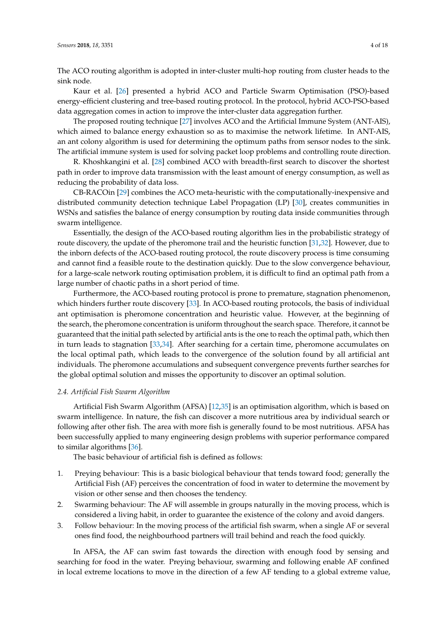The ACO routing algorithm is adopted in inter-cluster multi-hop routing from cluster heads to the sink node.

Kaur et al. [\[26\]](#page-16-8) presented a hybrid ACO and Particle Swarm Optimisation (PSO)-based energy-efficient clustering and tree-based routing protocol. In the protocol, hybrid ACO-PSO-based data aggregation comes in action to improve the inter-cluster data aggregation further.

The proposed routing technique [\[27\]](#page-16-9) involves ACO and the Artificial Immune System (ANT-AIS), which aimed to balance energy exhaustion so as to maximise the network lifetime. In ANT-AIS, an ant colony algorithm is used for determining the optimum paths from sensor nodes to the sink. The artificial immune system is used for solving packet loop problems and controlling route direction.

R. Khoshkangini et al. [\[28\]](#page-16-10) combined ACO with breadth-first search to discover the shortest path in order to improve data transmission with the least amount of energy consumption, as well as reducing the probability of data loss.

CB-RACOin [\[29\]](#page-16-11) combines the ACO meta-heuristic with the computationally-inexpensive and distributed community detection technique Label Propagation (LP) [\[30\]](#page-16-12), creates communities in WSNs and satisfies the balance of energy consumption by routing data inside communities through swarm intelligence.

Essentially, the design of the ACO-based routing algorithm lies in the probabilistic strategy of route discovery, the update of the pheromone trail and the heuristic function [\[31](#page-16-13)[,32\]](#page-16-14). However, due to the inborn defects of the ACO-based routing protocol, the route discovery process is time consuming and cannot find a feasible route to the destination quickly. Due to the slow convergence behaviour, for a large-scale network routing optimisation problem, it is difficult to find an optimal path from a large number of chaotic paths in a short period of time.

Furthermore, the ACO-based routing protocol is prone to premature, stagnation phenomenon, which hinders further route discovery [\[33\]](#page-16-15). In ACO-based routing protocols, the basis of individual ant optimisation is pheromone concentration and heuristic value. However, at the beginning of the search, the pheromone concentration is uniform throughout the search space. Therefore, it cannot be guaranteed that the initial path selected by artificial ants is the one to reach the optimal path, which then in turn leads to stagnation [\[33,](#page-16-15)[34\]](#page-16-16). After searching for a certain time, pheromone accumulates on the local optimal path, which leads to the convergence of the solution found by all artificial ant individuals. The pheromone accumulations and subsequent convergence prevents further searches for the global optimal solution and misses the opportunity to discover an optimal solution.

#### *2.4. Artificial Fish Swarm Algorithm*

Artificial Fish Swarm Algorithm (AFSA) [\[12](#page-15-11)[,35\]](#page-16-17) is an optimisation algorithm, which is based on swarm intelligence. In nature, the fish can discover a more nutritious area by individual search or following after other fish. The area with more fish is generally found to be most nutritious. AFSA has been successfully applied to many engineering design problems with superior performance compared to similar algorithms [\[36\]](#page-16-18).

The basic behaviour of artificial fish is defined as follows:

- 1. Preying behaviour: This is a basic biological behaviour that tends toward food; generally the Artificial Fish (AF) perceives the concentration of food in water to determine the movement by vision or other sense and then chooses the tendency.
- 2. Swarming behaviour: The AF will assemble in groups naturally in the moving process, which is considered a living habit, in order to guarantee the existence of the colony and avoid dangers.
- 3. Follow behaviour: In the moving process of the artificial fish swarm, when a single AF or several ones find food, the neighbourhood partners will trail behind and reach the food quickly.

In AFSA, the AF can swim fast towards the direction with enough food by sensing and searching for food in the water. Preying behaviour, swarming and following enable AF confined in local extreme locations to move in the direction of a few AF tending to a global extreme value,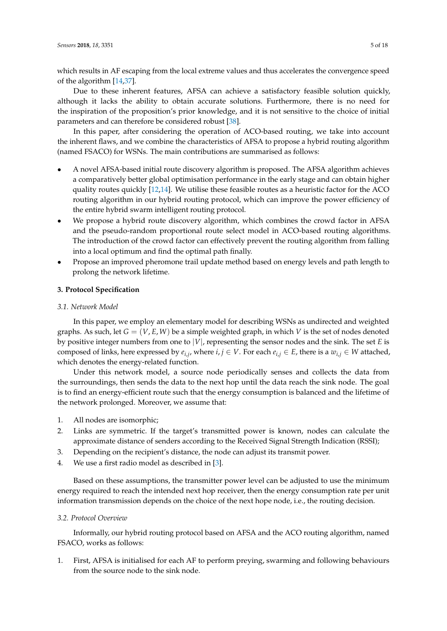which results in AF escaping from the local extreme values and thus accelerates the convergence speed of the algorithm [\[14](#page-15-13)[,37\]](#page-16-19).

Due to these inherent features, AFSA can achieve a satisfactory feasible solution quickly, although it lacks the ability to obtain accurate solutions. Furthermore, there is no need for the inspiration of the proposition's prior knowledge, and it is not sensitive to the choice of initial parameters and can therefore be considered robust [\[38\]](#page-16-20).

In this paper, after considering the operation of ACO-based routing, we take into account the inherent flaws, and we combine the characteristics of AFSA to propose a hybrid routing algorithm (named FSACO) for WSNs. The main contributions are summarised as follows:

- A novel AFSA-based initial route discovery algorithm is proposed. The AFSA algorithm achieves a comparatively better global optimisation performance in the early stage and can obtain higher quality routes quickly [\[12](#page-15-11)[,14\]](#page-15-13). We utilise these feasible routes as a heuristic factor for the ACO routing algorithm in our hybrid routing protocol, which can improve the power efficiency of the entire hybrid swarm intelligent routing protocol.
- We propose a hybrid route discovery algorithm, which combines the crowd factor in AFSA and the pseudo-random proportional route select model in ACO-based routing algorithms. The introduction of the crowd factor can effectively prevent the routing algorithm from falling into a local optimum and find the optimal path finally.
- Propose an improved pheromone trail update method based on energy levels and path length to prolong the network lifetime.

# <span id="page-4-0"></span>**3. Protocol Specification**

# <span id="page-4-1"></span>*3.1. Network Model*

In this paper, we employ an elementary model for describing WSNs as undirected and weighted graphs. As such, let  $G = (V, E, W)$  be a simple weighted graph, in which V is the set of nodes denoted by positive integer numbers from one to |*V*|, representing the sensor nodes and the sink. The set *E* is composed of links, here expressed by  $e_{i,j}$ , where  $i, j \in V$ . For each  $e_{i,j} \in E$ , there is a  $w_{i,j} \in W$  attached, which denotes the energy-related function.

Under this network model, a source node periodically senses and collects the data from the surroundings, then sends the data to the next hop until the data reach the sink node. The goal is to find an energy-efficient route such that the energy consumption is balanced and the lifetime of the network prolonged. Moreover, we assume that:

- 1. All nodes are isomorphic;
- 2. Links are symmetric. If the target's transmitted power is known, nodes can calculate the approximate distance of senders according to the Received Signal Strength Indication (RSSI);
- 3. Depending on the recipient's distance, the node can adjust its transmit power.
- 4. We use a first radio model as described in [\[3\]](#page-15-2).

Based on these assumptions, the transmitter power level can be adjusted to use the minimum energy required to reach the intended next hop receiver, then the energy consumption rate per unit information transmission depends on the choice of the next hope node, i.e., the routing decision.

# *3.2. Protocol Overview*

Informally, our hybrid routing protocol based on AFSA and the ACO routing algorithm, named FSACO, works as follows:

1. First, AFSA is initialised for each AF to perform preying, swarming and following behaviours from the source node to the sink node.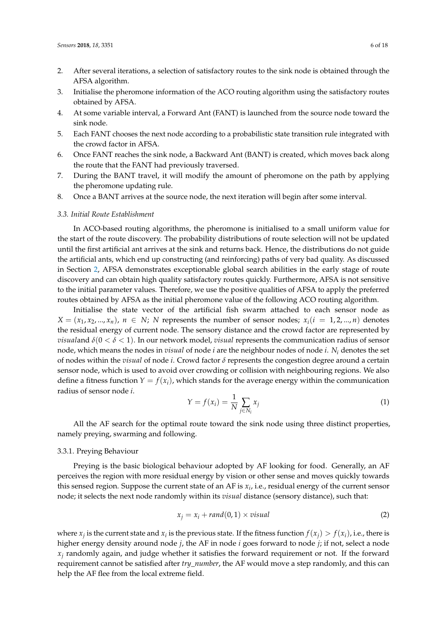- 2. After several iterations, a selection of satisfactory routes to the sink node is obtained through the AFSA algorithm.
- 3. Initialise the pheromone information of the ACO routing algorithm using the satisfactory routes obtained by AFSA.
- 4. At some variable interval, a Forward Ant (FANT) is launched from the source node toward the sink node.
- 5. Each FANT chooses the next node according to a probabilistic state transition rule integrated with the crowd factor in AFSA.
- 6. Once FANT reaches the sink node, a Backward Ant (BANT) is created, which moves back along the route that the FANT had previously traversed.
- 7. During the BANT travel, it will modify the amount of pheromone on the path by applying the pheromone updating rule.
- 8. Once a BANT arrives at the source node, the next iteration will begin after some interval.

#### <span id="page-5-1"></span>*3.3. Initial Route Establishment*

In ACO-based routing algorithms, the pheromone is initialised to a small uniform value for the start of the route discovery. The probability distributions of route selection will not be updated until the first artificial ant arrives at the sink and returns back. Hence, the distributions do not guide the artificial ants, which end up constructing (and reinforcing) paths of very bad quality. As discussed in Section [2,](#page-1-0) AFSA demonstrates exceptionable global search abilities in the early stage of route discovery and can obtain high quality satisfactory routes quickly. Furthermore, AFSA is not sensitive to the initial parameter values. Therefore, we use the positive qualities of AFSA to apply the preferred routes obtained by AFSA as the initial pheromone value of the following ACO routing algorithm.

Initialise the state vector of the artificial fish swarm attached to each sensor node as  $X = (x_1, x_2, ..., x_n)$ ,  $n \in N$ ; *N* represents the number of sensor nodes;  $x_i(i = 1, 2, ..., n)$  denotes the residual energy of current node. The sensory distance and the crowd factor are represented by *visual*and *δ*(0 < *δ* < 1). In our network model, *visual* represents the communication radius of sensor node, which means the nodes in *visual* of node *i* are the neighbour nodes of node *i*. *N<sup>i</sup>* denotes the set of nodes within the *visual* of node *i*. Crowd factor *δ* represents the congestion degree around a certain sensor node, which is used to avoid over crowding or collision with neighbouring regions. We also define a fitness function  $Y = f(x_i)$ , which stands for the average energy within the communication radius of sensor node *i*.

$$
Y = f(x_i) = \frac{1}{N} \sum_{j \in N_i} x_j \tag{1}
$$

All the AF search for the optimal route toward the sink node using three distinct properties, namely preying, swarming and following.

#### 3.3.1. Preying Behaviour

Preying is the basic biological behaviour adopted by AF looking for food. Generally, an AF perceives the region with more residual energy by vision or other sense and moves quickly towards this sensed region. Suppose the current state of an AF is  $x_i$ , i.e., residual energy of the current sensor node; it selects the next node randomly within its *visual* distance (sensory distance), such that:

<span id="page-5-0"></span>
$$
x_j = x_i + rand(0,1) \times visual \tag{2}
$$

where  $x_j$  is the current state and  $x_i$  is the previous state. If the fitness function  $f(x_j) > f(x_i)$ , i.e., there is higher energy density around node *j*, the AF in node *i* goes forward to node *j*; if not, select a node  $x_i$  randomly again, and judge whether it satisfies the forward requirement or not. If the forward requirement cannot be satisfied after *try\_number*, the AF would move a step randomly, and this can help the AF flee from the local extreme field.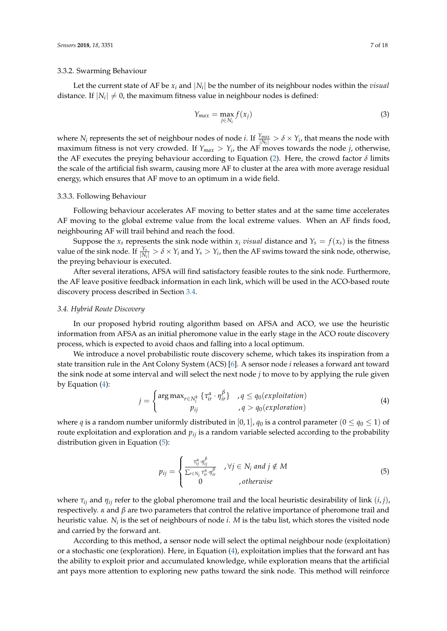#### 3.3.2. Swarming Behaviour

Let the current state of AF be  $x_i$  and  $|N_i|$  be the number of its neighbour nodes within the *visual* distance. If  $|N_i| \neq 0$ , the maximum fitness value in neighbour nodes is defined:

$$
Y_{max} = \max_{j \in N_i} f(x_j) \tag{3}
$$

where  $N_i$  represents the set of neighbour nodes of node *i*. If  $\frac{Y_{max}}{|N_i|} > \delta \times Y_i$ , that means the node with maximum fitness is not very crowded. If  $Y_{max} > Y_i$ , the AF moves towards the node *j*, otherwise, the AF executes the preying behaviour according to Equation [\(2\)](#page-5-0). Here, the crowd factor *δ* limits the scale of the artificial fish swarm, causing more AF to cluster at the area with more average residual energy, which ensures that AF move to an optimum in a wide field.

#### 3.3.3. Following Behaviour

Following behaviour accelerates AF moving to better states and at the same time accelerates AF moving to the global extreme value from the local extreme values. When an AF finds food, neighbouring AF will trail behind and reach the food.

Suppose the  $x_s$  represents the sink node within  $x_i$  *visual* distance and  $Y_s = f(x_s)$  is the fitness value of the sink node. If  $\frac{Y_s}{|N_i|} > \delta \times Y_i$  and  $Y_s > Y_i$ , then the AF swims toward the sink node, otherwise, the preying behaviour is executed.

After several iterations, AFSA will find satisfactory feasible routes to the sink node. Furthermore, the AF leave positive feedback information in each link, which will be used in the ACO-based route discovery process described in Section [3.4.](#page-6-0)

#### <span id="page-6-0"></span>*3.4. Hybrid Route Discovery*

In our proposed hybrid routing algorithm based on AFSA and ACO, we use the heuristic information from AFSA as an initial pheromone value in the early stage in the ACO route discovery process, which is expected to avoid chaos and falling into a local optimum.

We introduce a novel probabilistic route discovery scheme, which takes its inspiration from a state transition rule in the Ant Colony System (ACS) [\[6\]](#page-15-5). A sensor node *i* releases a forward ant toward the sink node at some interval and will select the next node *j* to move to by applying the rule given by Equation [\(4\)](#page-6-1):

<span id="page-6-1"></span>
$$
j = \begin{cases} \arg \max_{r \in N_i^k} \left\{ \tau_{ir}^\alpha \cdot \eta_{ir}^\beta \right\} & , q \le q_0(\text{exploitation}) \\ p_{ij} & , q > q_0(\text{exploration}) \end{cases} \tag{4}
$$

where *q* is a random number uniformly distributed in [0, 1],  $q_0$  is a control parameter ( $0 \leq q_0 \leq 1$ ) of route exploitation and exploration and  $p_i$  is a random variable selected according to the probability distribution given in Equation [\(5\)](#page-6-2):

<span id="page-6-2"></span>
$$
p_{ij} = \begin{cases} \frac{\tau_{ij}^{\alpha} \cdot \eta_{ij}^{\beta}}{\sum_{r \in N_i} \tau_{ir}^{\alpha} \cdot \eta_{ir}^{\beta}} & , \forall j \in N_i \text{ and } j \notin M \\ 0 & , otherwise \end{cases}
$$
(5)

where  $\tau_{ij}$  and  $\eta_{ij}$  refer to the global pheromone trail and the local heuristic desirability of link  $(i, j)$ , respectively. *α* and *β* are two parameters that control the relative importance of pheromone trail and heuristic value.  $N_i$  is the set of neighbours of node  $i$ .  $M$  is the tabu list, which stores the visited node and carried by the forward ant.

According to this method, a sensor node will select the optimal neighbour node (exploitation) or a stochastic one (exploration). Here, in Equation [\(4\)](#page-6-1), exploitation implies that the forward ant has the ability to exploit prior and accumulated knowledge, while exploration means that the artificial ant pays more attention to exploring new paths toward the sink node. This method will reinforce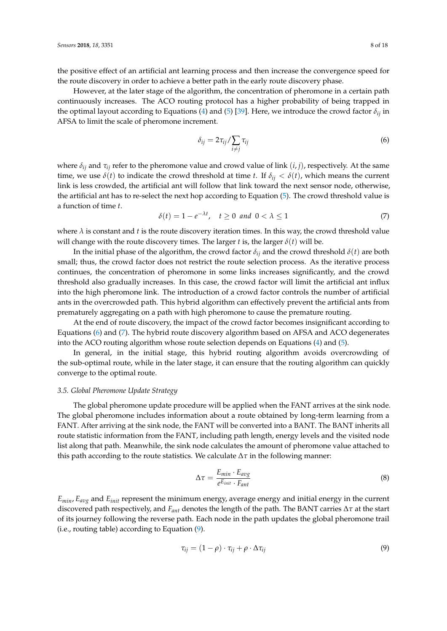the positive effect of an artificial ant learning process and then increase the convergence speed for the route discovery in order to achieve a better path in the early route discovery phase.

However, at the later stage of the algorithm, the concentration of pheromone in a certain path continuously increases. The ACO routing protocol has a higher probability of being trapped in the optimal layout according to Equations [\(4\)](#page-6-1) and [\(5\)](#page-6-2) [\[39\]](#page-16-21). Here, we introduce the crowd factor *δij* in AFSA to limit the scale of pheromone increment.

<span id="page-7-0"></span>
$$
\delta_{ij} = 2\tau_{ij} / \sum_{i \neq j} \tau_{ij} \tag{6}
$$

where  $\delta_{ij}$  and  $\tau_{ij}$  refer to the pheromone value and crowd value of link  $(i, j)$ , respectively. At the same time, we use  $\delta(t)$  to indicate the crowd threshold at time *t*. If  $\delta_{ij} < \delta(t)$ , which means the current link is less crowded, the artificial ant will follow that link toward the next sensor node, otherwise, the artificial ant has to re-select the next hop according to Equation [\(5\)](#page-6-2). The crowd threshold value is a function of time *t*.

<span id="page-7-1"></span>
$$
\delta(t) = 1 - e^{-\lambda t}, \quad t \ge 0 \text{ and } 0 < \lambda \le 1 \tag{7}
$$

where  $\lambda$  is constant and  $t$  is the route discovery iteration times. In this way, the crowd threshold value will change with the route discovery times. The larger *t* is, the larger  $\delta(t)$  will be.

In the initial phase of the algorithm, the crowd factor  $\delta_{ij}$  and the crowd threshold  $\delta(t)$  are both small; thus, the crowd factor does not restrict the route selection process. As the iterative process continues, the concentration of pheromone in some links increases significantly, and the crowd threshold also gradually increases. In this case, the crowd factor will limit the artificial ant influx into the high pheromone link. The introduction of a crowd factor controls the number of artificial ants in the overcrowded path. This hybrid algorithm can effectively prevent the artificial ants from prematurely aggregating on a path with high pheromone to cause the premature routing.

At the end of route discovery, the impact of the crowd factor becomes insignificant according to Equations [\(6\)](#page-7-0) and [\(7\)](#page-7-1). The hybrid route discovery algorithm based on AFSA and ACO degenerates into the ACO routing algorithm whose route selection depends on Equations [\(4\)](#page-6-1) and [\(5\)](#page-6-2).

In general, in the initial stage, this hybrid routing algorithm avoids overcrowding of the sub-optimal route, while in the later stage, it can ensure that the routing algorithm can quickly converge to the optimal route.

### <span id="page-7-3"></span>*3.5. Global Pheromone Update Strategy*

The global pheromone update procedure will be applied when the FANT arrives at the sink node. The global pheromone includes information about a route obtained by long-term learning from a FANT. After arriving at the sink node, the FANT will be converted into a BANT. The BANT inherits all route statistic information from the FANT, including path length, energy levels and the visited node list along that path. Meanwhile, the sink node calculates the amount of pheromone value attached to this path according to the route statistics. We calculate  $\Delta\tau$  in the following manner:

$$
\Delta \tau = \frac{E_{min} \cdot E_{avg}}{e^{E_{init}} \cdot F_{ant}} \tag{8}
$$

*Emin*, *Eavg* and *Einit* represent the minimum energy, average energy and initial energy in the current discovered path respectively, and *Fant* denotes the length of the path. The BANT carries ∆*τ* at the start of its journey following the reverse path. Each node in the path updates the global pheromone trail (i.e., routing table) according to Equation [\(9\)](#page-7-2).

<span id="page-7-2"></span>
$$
\tau_{ij} = (1 - \rho) \cdot \tau_{ij} + \rho \cdot \Delta \tau_{ij} \tag{9}
$$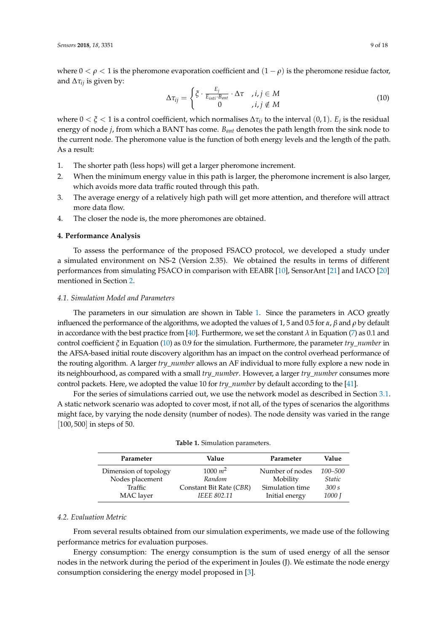where  $0 < \rho < 1$  is the pheromone evaporation coefficient and  $(1 - \rho)$  is the pheromone residue factor, and  $\Delta\tau_{ij}$  is given by:

<span id="page-8-2"></span>
$$
\Delta \tau_{ij} = \begin{cases} \xi \cdot \frac{E_j}{E_{inti} \cdot B_{ant}} \cdot \Delta \tau & , i, j \in M \\ 0 & , i, j \notin M \end{cases}
$$
 (10)

where  $0 < \xi < 1$  is a control coefficient, which normalises  $\Delta \tau_{ij}$  to the interval  $(0,1)$ .  $E_j$  is the residual energy of node *j*, from which a BANT has come. *Bant* denotes the path length from the sink node to the current node. The pheromone value is the function of both energy levels and the length of the path. As a result:

- 1. The shorter path (less hops) will get a larger pheromone increment.
- 2. When the minimum energy value in this path is larger, the pheromone increment is also larger, which avoids more data traffic routed through this path.
- 3. The average energy of a relatively high path will get more attention, and therefore will attract more data flow.
- 4. The closer the node is, the more pheromones are obtained.

# <span id="page-8-0"></span>**4. Performance Analysis**

To assess the performance of the proposed FSACO protocol, we developed a study under a simulated environment on NS-2 (Version 2.35). We obtained the results in terms of different performances from simulating FSACO in comparison with EEABR [\[10\]](#page-15-9), SensorAnt [\[21\]](#page-16-3) and IACO [\[20\]](#page-16-2) mentioned in Section [2.](#page-1-0)

# *4.1. Simulation Model and Parameters*

The parameters in our simulation are shown in Table [1.](#page-8-1) Since the parameters in ACO greatly influenced the performance of the algorithms, we adopted the values of 1, 5 and 0.5 for *α*, *β* and *ρ* by default in accordance with the best practice from [\[40\]](#page-17-0). Furthermore, we set the constant  $\lambda$  in Equation [\(7\)](#page-7-1) as 0.1 and control coefficient *ξ* in Equation [\(10\)](#page-8-2) as 0.9 for the simulation. Furthermore, the parameter *try*\_*number* in the AFSA-based initial route discovery algorithm has an impact on the control overhead performance of the routing algorithm. A larger *try*\_*number* allows an AF individual to more fully explore a new node in its neighbourhood, as compared with a small *try*\_*number*. However, a larger *try*\_*number* consumes more control packets. Here, we adopted the value 10 for *try*\_*number* by default according to the [\[41\]](#page-17-1).

<span id="page-8-1"></span>For the series of simulations carried out, we use the network model as described in Section [3.1.](#page-4-1) A static network scenario was adopted to cover most, if not all, of the types of scenarios the algorithms might face, by varying the node density (number of nodes). The node density was varied in the range [100, 500] in steps of 50.

| Parameter             | Value                   | Parameter       | Value         |
|-----------------------|-------------------------|-----------------|---------------|
| Dimension of topology | 1000 $m^2$              | Number of nodes | 100–500       |
| Nodes placement       | Random                  | Mobility        | <i>Static</i> |
| Traffic               | Constant Bit Rate (CBR) | Simulation time | 300 s         |
| MAC layer             | <b>IEEE 802.11</b>      | Initial energy  | 1000 J        |
|                       |                         |                 |               |

|  |  | Table 1. Simulation parameters. |
|--|--|---------------------------------|
|--|--|---------------------------------|

# <span id="page-8-3"></span>*4.2. Evaluation Metric*

From several results obtained from our simulation experiments, we made use of the following performance metrics for evaluation purposes.

Energy consumption: The energy consumption is the sum of used energy of all the sensor nodes in the network during the period of the experiment in Joules (J). We estimate the node energy consumption considering the energy model proposed in [\[3\]](#page-15-2).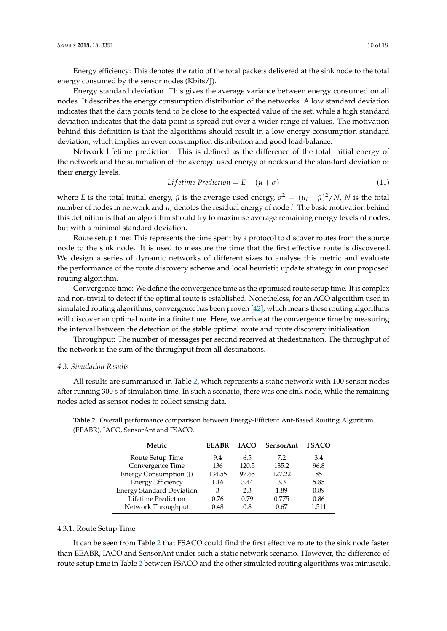Energy efficiency: This denotes the ratio of the total packets delivered at the sink node to the total energy consumed by the sensor nodes (Kbits/J).

Energy standard deviation. This gives the average variance between energy consumed on all nodes. It describes the energy consumption distribution of the networks. A low standard deviation indicates that the data points tend to be close to the expected value of the set, while a high standard deviation indicates that the data point is spread out over a wider range of values. The motivation behind this definition is that the algorithms should result in a low energy consumption standard deviation, which implies an even consumption distribution and good load-balance.

Network lifetime prediction. This is defined as the difference of the total initial energy of the network and the summation of the average used energy of nodes and the standard deviation of their energy levels.

$$
Lifetime Prediction = E - (\bar{\mu} + \sigma) \tag{11}
$$

where *E* is the total initial energy,  $\bar{\mu}$  is the average used energy,  $\sigma^2 = (\mu_i - \bar{\mu})^2/N$ , *N* is the total number of nodes in network and  $\mu_i$  denotes the residual energy of node *i*. The basic motivation behind this definition is that an algorithm should try to maximise average remaining energy levels of nodes, but with a minimal standard deviation.

Route setup time: This represents the time spent by a protocol to discover routes from the source node to the sink node. It is used to measure the time that the first effective route is discovered. We design a series of dynamic networks of different sizes to analyse this metric and evaluate the performance of the route discovery scheme and local heuristic update strategy in our proposed routing algorithm.

Convergence time: We define the convergence time as the optimised route setup time. It is complex and non-trivial to detect if the optimal route is established. Nonetheless, for an ACO algorithm used in simulated routing algorithms, convergence has been proven [\[42\]](#page-17-2), which means these routing algorithms will discover an optimal route in a finite time. Here, we arrive at the convergence time by measuring the interval between the detection of the stable optimal route and route discovery initialisation.

Throughput: The number of messages per second received at thedestination. The throughput of the network is the sum of the throughput from all destinations.

# *4.3. Simulation Results*

All results are summarised in Table [2,](#page-9-0) which represents a static network with 100 sensor nodes after running 300 s of simulation time. In such a scenario, there was one sink node, while the remaining nodes acted as sensor nodes to collect sensing data.

| Metric                           | <b>EEABR</b> | <b>IACO</b> | SensorAnt | <b>FSACO</b> |
|----------------------------------|--------------|-------------|-----------|--------------|
| Route Setup Time                 | 9.4          | 6.5         | 7.2       | 3.4          |
| Convergence Time                 | 136          | 120.5       | 135.2     | 96.8         |
| Energy Consumption (J)           | 134.55       | 97.65       | 127.22    | 85           |
| <b>Energy Efficiency</b>         | 1.16         | 3.44        | 3.3       | 5.85         |
| <b>Energy Standard Deviation</b> | 3            | 2.3         | 1.89      | 0.89         |
| <b>Lifetime Prediction</b>       | 0.76         | 0.79        | 0.775     | 0.86         |
| Network Throughput               | 0.48         | 0.8         | 0.67      | 1.511        |

<span id="page-9-0"></span>**Table 2.** Overall performance comparison between Energy-Efficient Ant-Based Routing Algorithm (EEABR), IACO, SensorAnt and FSACO.

# 4.3.1. Route Setup Time

It can be seen from Table [2](#page-9-0) that FSACO could find the first effective route to the sink node faster than EEABR, IACO and SensorAnt under such a static network scenario. However, the difference of route setup time in Table [2](#page-9-0) between FSACO and the other simulated routing algorithms was minuscule.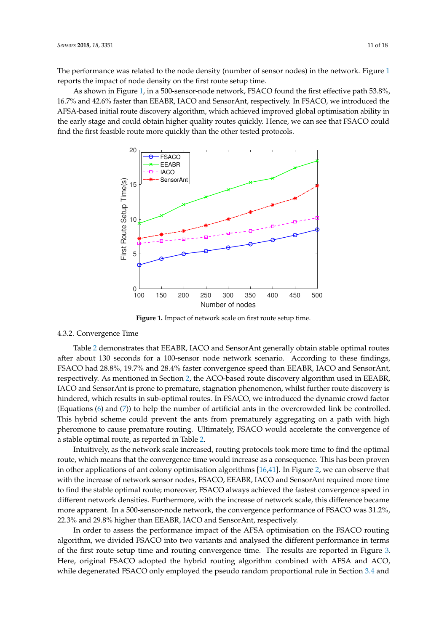The performance was related to the node density (number of sensor nodes) in the network. Figure [1](#page-10-0) reports the impact of node density on the first route setup time.

<span id="page-10-0"></span>As shown in Figure [1,](#page-10-0) in a 500-sensor-node network, FSACO found the first effective path 53.8%, 16.7% and 42.6% faster than EEABR, IACO and SensorAnt, respectively. In FSACO, we introduced the AFSA-based initial route discovery algorithm, which achieved improved global optimisation ability in the early stage and could obtain higher quality routes quickly. Hence, we can see that FSACO could find the first feasible route more quickly than the other tested protocols.



**Figure 1.** Impact of network scale on first route setup time.

# 4.3.2. Convergence Time

Table [2](#page-9-0) demonstrates that EEABR, IACO and SensorAnt generally obtain stable optimal routes after about 130 seconds for a 100-sensor node network scenario. According to these findings, FSACO had 28.8%, 19.7% and 28.4% faster convergence speed than EEABR, IACO and SensorAnt, respectively. As mentioned in Section [2,](#page-1-0) the ACO-based route discovery algorithm used in EEABR, IACO and SensorAnt is prone to premature, stagnation phenomenon, whilst further route discovery is hindered, which results in sub-optimal routes. In FSACO, we introduced the dynamic crowd factor (Equations [\(6\)](#page-7-0) and [\(7\)](#page-7-1)) to help the number of artificial ants in the overcrowded link be controlled. This hybrid scheme could prevent the ants from prematurely aggregating on a path with high pheromone to cause premature routing. Ultimately, FSACO would accelerate the convergence of a stable optimal route, as reported in Table [2.](#page-9-0)

Intuitively, as the network scale increased, routing protocols took more time to find the optimal route, which means that the convergence time would increase as a consequence. This has been proven in other applications of ant colony optimisation algorithms [\[16](#page-15-15)[,41\]](#page-17-1). In Figure [2,](#page-11-0) we can observe that with the increase of network sensor nodes, FSACO, EEABR, IACO and SensorAnt required more time to find the stable optimal route; moreover, FSACO always achieved the fastest convergence speed in different network densities. Furthermore, with the increase of network scale, this difference became more apparent. In a 500-sensor-node network, the convergence performance of FSACO was 31.2%, 22.3% and 29.8% higher than EEABR, IACO and SensorAnt, respectively.

In order to assess the performance impact of the AFSA optimisation on the FSACO routing algorithm, we divided FSACO into two variants and analysed the different performance in terms of the first route setup time and routing convergence time. The results are reported in Figure [3.](#page-11-1) Here, original FSACO adopted the hybrid routing algorithm combined with AFSA and ACO, while degenerated FSACO only employed the pseudo random proportional rule in Section [3.4](#page-6-0) and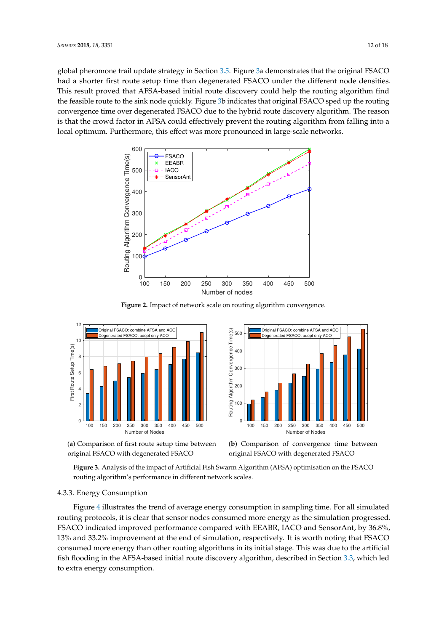global pheromone trail update strategy in Section [3.5.](#page-7-3) Figure [3a](#page-11-1) demonstrates that the original FSACO had a shorter first route setup time than degenerated FSACO under the different node densities. This result proved that AFSA-based initial route discovery could help the routing algorithm find the feasible route to the sink node quickly. Figure [3b](#page-11-1) indicates that original FSACO sped up the routing convergence time over degenerated FSACO due to the hybrid route discovery algorithm. The reason is that the crowd factor in AFSA could effectively prevent the routing algorithm from falling into a local optimum. Furthermore, this effect was more pronounced in large-scale networks.

<span id="page-11-0"></span>

**Figure 2.** Impact of network scale on routing algorithm convergence.

<span id="page-11-1"></span>

(**a**) Comparison of first route setup time between original FSACO with degenerated FSACO



(**b**) Comparison of convergence time between original FSACO with degenerated FSACO

**Figure 3.** Analysis of the impact of Artificial Fish Swarm Algorithm (AFSA) optimisation on the FSACO routing algorithm's performance in different network scales.

# 4.3.3. Energy Consumption

Figure [4](#page-12-0) illustrates the trend of average energy consumption in sampling time. For all simulated routing protocols, it is clear that sensor nodes consumed more energy as the simulation progressed. FSACO indicated improved performance compared with EEABR, IACO and SensorAnt, by 36.8%, 13% and 33.2% improvement at the end of simulation, respectively. It is worth noting that FSACO consumed more energy than other routing algorithms in its initial stage. This was due to the artificial fish flooding in the AFSA-based initial route discovery algorithm, described in Section [3.3,](#page-5-1) which led to extra energy consumption.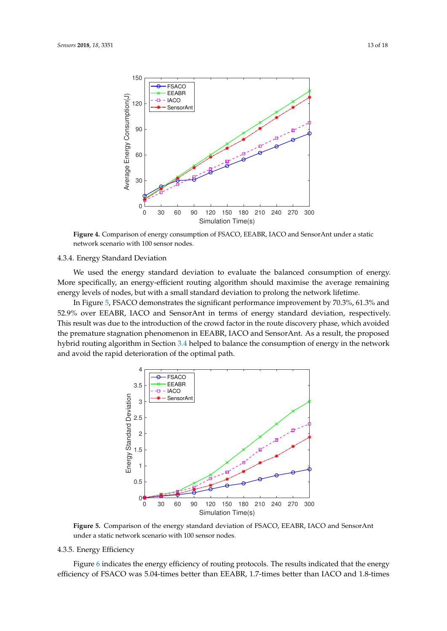<span id="page-12-0"></span>

**Figure 4.** Comparison of energy consumption of FSACO, EEABR, IACO and SensorAnt under a static network scenario with 100 sensor nodes.

## 4.3.4. Energy Standard Deviation

We used the energy standard deviation to evaluate the balanced consumption of energy. More specifically, an energy-efficient routing algorithm should maximise the average remaining energy levels of nodes, but with a small standard deviation to prolong the network lifetime.

<span id="page-12-1"></span>In Figure [5,](#page-12-1) FSACO demonstrates the significant performance improvement by 70.3%, 61.3% and 52.9% over EEABR, IACO and SensorAnt in terms of energy standard deviation, respectively. This result was due to the introduction of the crowd factor in the route discovery phase, which avoided the premature stagnation phenomenon in EEABR, IACO and SensorAnt. As a result, the proposed hybrid routing algorithm in Section [3.4](#page-6-0) helped to balance the consumption of energy in the network and avoid the rapid deterioration of the optimal path.



**Figure 5.** Comparison of the energy standard deviation of FSACO, EEABR, IACO and SensorAnt under a static network scenario with 100 sensor nodes.

#### 4.3.5. Energy Efficiency

Figure [6](#page-13-0) indicates the energy efficiency of routing protocols. The results indicated that the energy efficiency of FSACO was 5.04-times better than EEABR, 1.7-times better than IACO and 1.8-times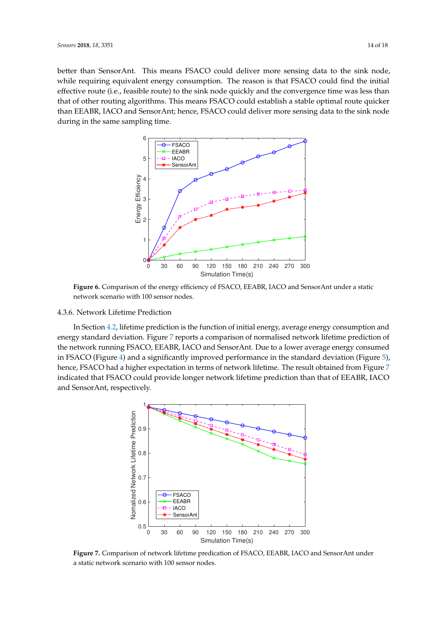<span id="page-13-0"></span>better than SensorAnt. This means FSACO could deliver more sensing data to the sink node, while requiring equivalent energy consumption. The reason is that FSACO could find the initial effective route (i.e., feasible route) to the sink node quickly and the convergence time was less than that of other routing algorithms. This means FSACO could establish a stable optimal route quicker than EEABR, IACO and SensorAnt; hence, FSACO could deliver more sensing data to the sink node during in the same sampling time.



**Figure 6.** Comparison of the energy efficiency of FSACO, EEABR, IACO and SensorAnt under a static network scenario with 100 sensor nodes.

# 4.3.6. Network Lifetime Prediction

<span id="page-13-1"></span>In Section [4.2,](#page-8-3) lifetime prediction is the function of initial energy, average energy consumption and energy standard deviation. Figure [7](#page-13-1) reports a comparison of normalised network lifetime prediction of the network running FSACO, EEABR, IACO and SensorAnt. Due to a lower average energy consumed in FSACO (Figure [4\)](#page-12-0) and a significantly improved performance in the standard deviation (Figure [5\)](#page-12-1), hence, FSACO had a higher expectation in terms of network lifetime. The result obtained from Figure [7](#page-13-1) indicated that FSACO could provide longer network lifetime prediction than that of EEABR, IACO and SensorAnt, respectively.



**Figure 7.** Comparison of network lifetime predication of FSACO, EEABR, IACO and SensorAnt under a static network scenario with 100 sensor nodes.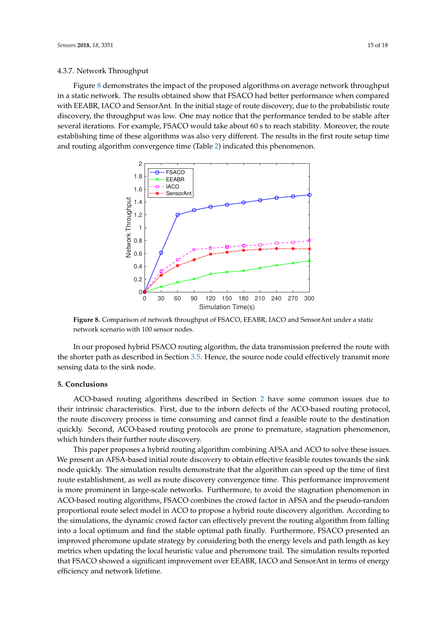#### 4.3.7. Network Throughput

Figure [8](#page-14-1) demonstrates the impact of the proposed algorithms on average network throughput in a static network. The results obtained show that FSACO had better performance when compared with EEABR, IACO and SensorAnt. In the initial stage of route discovery, due to the probabilistic route discovery, the throughput was low. One may notice that the performance tended to be stable after several iterations. For example, FSACO would take about 60 s to reach stability. Moreover, the route establishing time of these algorithms was also very different. The results in the first route setup time and routing algorithm convergence time (Table [2\)](#page-9-0) indicated this phenomenon.

<span id="page-14-1"></span>

**Figure 8.** Comparison of network throughput of FSACO, EEABR, IACO and SensorAnt under a static network scenario with 100 sensor nodes.

In our proposed hybrid FSACO routing algorithm, the data transmission preferred the route with the shorter path as described in Section [3.5.](#page-7-3) Hence, the source node could effectively transmit more sensing data to the sink node.

#### <span id="page-14-0"></span>**5. Conclusions**

ACO-based routing algorithms described in Section [2](#page-1-0) have some common issues due to their intrinsic characteristics. First, due to the inborn defects of the ACO-based routing protocol, the route discovery process is time consuming and cannot find a feasible route to the destination quickly. Second, ACO-based routing protocols are prone to premature, stagnation phenomenon, which hinders their further route discovery.

This paper proposes a hybrid routing algorithm combining AFSA and ACO to solve these issues. We present an AFSA-based initial route discovery to obtain effective feasible routes towards the sink node quickly. The simulation results demonstrate that the algorithm can speed up the time of first route establishment, as well as route discovery convergence time. This performance improvement is more prominent in large-scale networks. Furthermore, to avoid the stagnation phenomenon in ACO-based routing algorithms, FSACO combines the crowd factor in AFSA and the pseudo-random proportional route select model in ACO to propose a hybrid route discovery algorithm. According to the simulations, the dynamic crowd factor can effectively prevent the routing algorithm from falling into a local optimum and find the stable optimal path finally. Furthermore, FSACO presented an improved pheromone update strategy by considering both the energy levels and path length as key metrics when updating the local heuristic value and pheromone trail. The simulation results reported that FSACO showed a significant improvement over EEABR, IACO and SensorAnt in terms of energy efficiency and network lifetime.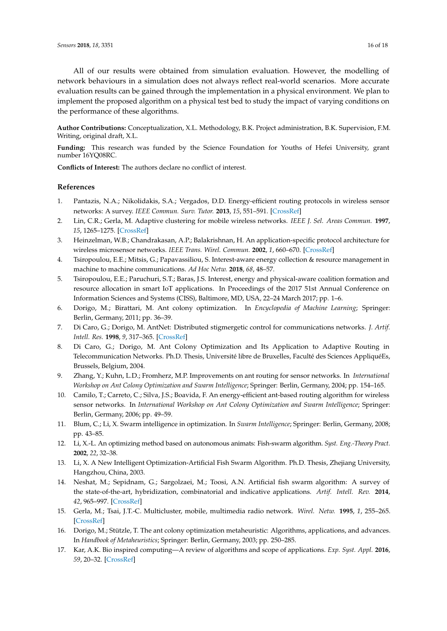All of our results were obtained from simulation evaluation. However, the modelling of network behaviours in a simulation does not always reflect real-world scenarios. More accurate evaluation results can be gained through the implementation in a physical environment. We plan to implement the proposed algorithm on a physical test bed to study the impact of varying conditions on the performance of these algorithms.

**Author Contributions:** Conceptualization, X.L. Methodology, B.K. Project administration, B.K. Supervision, F.M. Writing, original draft, X.L.

**Funding:** This research was funded by the Science Foundation for Youths of Hefei University, grant number 16YQ08RC.

**Conflicts of Interest:** The authors declare no conflict of interest.

# **References**

- <span id="page-15-0"></span>1. Pantazis, N.A.; Nikolidakis, S.A.; Vergados, D.D. Energy-efficient routing protocols in wireless sensor networks: A survey. *IEEE Commun. Surv. Tutor.* **2013**, *15*, 551–591. [\[CrossRef\]](http://dx.doi.org/10.1109/SURV.2012.062612.00084)
- <span id="page-15-1"></span>2. Lin, C.R.; Gerla, M. Adaptive clustering for mobile wireless networks. *IEEE J. Sel. Areas Commun.* **1997**, *15*, 1265–1275. [\[CrossRef\]](http://dx.doi.org/10.1109/49.622910)
- <span id="page-15-2"></span>3. Heinzelman, W.B.; Chandrakasan, A.P.; Balakrishnan, H. An application-specific protocol architecture for wireless microsensor networks. *IEEE Trans. Wirel. Commun.* **2002**, *1*, 660–670. [\[CrossRef\]](http://dx.doi.org/10.1109/TWC.2002.804190)
- <span id="page-15-3"></span>4. Tsiropoulou, E.E.; Mitsis, G.; Papavassiliou, S. Interest-aware energy collection & resource management in machine to machine communications. *Ad Hoc Netw.* **2018**, *68*, 48–57.
- <span id="page-15-4"></span>5. Tsiropoulou, E.E.; Paruchuri, S.T.; Baras, J.S. Interest, energy and physical-aware coalition formation and resource allocation in smart IoT applications. In Proceedings of the 2017 51st Annual Conference on Information Sciences and Systems (CISS), Baltimore, MD, USA, 22–24 March 2017; pp. 1–6.
- <span id="page-15-5"></span>6. Dorigo, M.; Birattari, M. Ant colony optimization. In *Encyclopedia of Machine Learning*; Springer: Berlin, Germany, 2011; pp. 36–39.
- <span id="page-15-6"></span>7. Di Caro, G.; Dorigo, M. AntNet: Distributed stigmergetic control for communications networks. *J. Artif. Intell. Res.* **1998**, *9*, 317–365. [\[CrossRef\]](http://dx.doi.org/10.1613/jair.530)
- <span id="page-15-7"></span>8. Di Caro, G.; Dorigo, M. Ant Colony Optimization and Its Application to Adaptive Routing in Telecommunication Networks. Ph.D. Thesis, Université libre de Bruxelles, Faculté des Sciences AppliquéEs, Brussels, Belgium, 2004.
- <span id="page-15-8"></span>9. Zhang, Y.; Kuhn, L.D.; Fromherz, M.P. Improvements on ant routing for sensor networks. In *International Workshop on Ant Colony Optimization and Swarm Intelligence*; Springer: Berlin, Germany, 2004; pp. 154–165.
- <span id="page-15-9"></span>10. Camilo, T.; Carreto, C.; Silva, J.S.; Boavida, F. An energy-efficient ant-based routing algorithm for wireless sensor networks. In *International Workshop on Ant Colony Optimization and Swarm Intelligence*; Springer: Berlin, Germany, 2006; pp. 49–59.
- <span id="page-15-10"></span>11. Blum, C.; Li, X. Swarm intelligence in optimization. In *Swarm Intelligence*; Springer: Berlin, Germany, 2008; pp. 43–85.
- <span id="page-15-11"></span>12. Li, X.-L. An optimizing method based on autonomous animats: Fish-swarm algorithm. *Syst. Eng.-Theory Pract.* **2002**, *22*, 32–38.
- <span id="page-15-12"></span>13. Li, X. A New Intelligent Optimization-Artificial Fish Swarm Algorithm. Ph.D. Thesis, Zhejiang University, Hangzhou, China, 2003.
- <span id="page-15-13"></span>14. Neshat, M.; Sepidnam, G.; Sargolzaei, M.; Toosi, A.N. Artificial fish swarm algorithm: A survey of the state-of-the-art, hybridization, combinatorial and indicative applications. *Artif. Intell. Rev.* **2014**, *42*, 965–997. [\[CrossRef\]](http://dx.doi.org/10.1007/s10462-012-9342-2)
- <span id="page-15-14"></span>15. Gerla, M.; Tsai, J.T.-C. Multicluster, mobile, multimedia radio network. *Wirel. Netw.* **1995**, *1*, 255–265. [\[CrossRef\]](http://dx.doi.org/10.1007/BF01200845)
- <span id="page-15-15"></span>16. Dorigo, M.; Stützle, T. The ant colony optimization metaheuristic: Algorithms, applications, and advances. In *Handbook of Metaheuristics*; Springer: Berlin, Germany, 2003; pp. 250–285.
- <span id="page-15-16"></span>17. Kar, A.K. Bio inspired computing—A review of algorithms and scope of applications. *Exp. Syst. Appl.* **2016**, *59*, 20–32. [\[CrossRef\]](http://dx.doi.org/10.1016/j.eswa.2016.04.018)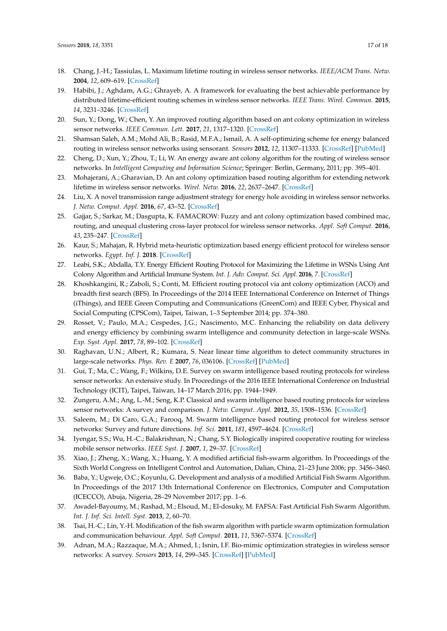- <span id="page-16-0"></span>18. Chang, J.-H.; Tassiulas, L. Maximum lifetime routing in wireless sensor networks. *IEEE/ACM Trans. Netw.* **2004**, *12*, 609–619. [\[CrossRef\]](http://dx.doi.org/10.1109/TNET.2004.833122)
- <span id="page-16-1"></span>19. Habibi, J.; Aghdam, A.G.; Ghrayeb, A. A framework for evaluating the best achievable performance by distributed lifetime-efficient routing schemes in wireless sensor networks. *IEEE Trans. Wirel. Commun.* **2015**, *14*, 3231–3246. [\[CrossRef\]](http://dx.doi.org/10.1109/TWC.2015.2403351)
- <span id="page-16-2"></span>20. Sun, Y.; Dong, W.; Chen, Y. An improved routing algorithm based on ant colony optimization in wireless sensor networks. *IEEE Commun. Lett.* **2017**, *21*, 1317–1320. [\[CrossRef\]](http://dx.doi.org/10.1109/LCOMM.2017.2672959)
- <span id="page-16-3"></span>21. Shamsan Saleh, A.M.; Mohd Ali, B.; Rasid, M.F.A.; Ismail, A. A self-optimizing scheme for energy balanced routing in wireless sensor networks using sensorant. *Sensors* **2012**, *12*, 11307–11333. [\[CrossRef\]](http://dx.doi.org/10.3390/s120811307) [\[PubMed\]](http://www.ncbi.nlm.nih.gov/pubmed/23112658)
- <span id="page-16-4"></span>22. Cheng, D.; Xun, Y.; Zhou, T.; Li, W. An energy aware ant colony algorithm for the routing of wireless sensor networks. In *Intelligent Computing and Information Science*; Springer: Berlin, Germany, 2011; pp. 395–401.
- <span id="page-16-5"></span>23. Mohajerani, A.; Gharavian, D. An ant colony optimization based routing algorithm for extending network lifetime in wireless sensor networks. *Wirel. Netw.* **2016**, *22*, 2637–2647. [\[CrossRef\]](http://dx.doi.org/10.1007/s11276-015-1061-6)
- <span id="page-16-6"></span>24. Liu, X. A novel transmission range adjustment strategy for energy hole avoiding in wireless sensor networks. *J. Netw. Comput. Appl.* **2016**, *67*, 43–52. [\[CrossRef\]](http://dx.doi.org/10.1016/j.jnca.2016.02.018)
- <span id="page-16-7"></span>25. Gajjar, S.; Sarkar, M.; Dasgupta, K. FAMACROW: Fuzzy and ant colony optimization based combined mac, routing, and unequal clustering cross-layer protocol for wireless sensor networks. *Appl. Soft Comput.* **2016**, *43*, 235–247. [\[CrossRef\]](http://dx.doi.org/10.1016/j.asoc.2016.02.019)
- <span id="page-16-8"></span>26. Kaur, S.; Mahajan, R. Hybrid meta-heuristic optimization based energy efficient protocol for wireless sensor networks. *Egypt. Inf. J.* **2018**. [\[CrossRef\]](http://dx.doi.org/10.1016/j.eij.2018.01.002)
- <span id="page-16-9"></span>27. Leabi, S.K.; Abdalla, T.Y. Energy Efficient Routing Protocol for Maximizing the Lifetime in WSNs Using Ant Colony Algorithm and Artificial Immune System. *Int. J. Adv. Comput. Sci. Appl.* **2016**, *7*. [\[CrossRef\]](http://dx.doi.org/10.14569/IJACSA.2016.070315)
- <span id="page-16-10"></span>28. Khoshkangini, R.; Zaboli, S.; Conti, M. Efficient routing protocol via ant colony optimization (ACO) and breadth first search (BFS). In Proceedings of the 2014 IEEE International Conference on Internet of Things (iThings), and IEEE Green Computing and Communications (GreenCom) and IEEE Cyber, Physical and Social Computing (CPSCom), Taipei, Taiwan, 1–3 September 2014; pp. 374–380.
- <span id="page-16-11"></span>29. Rosset, V.; Paulo, M.A.; Cespedes, J.G.; Nascimento, M.C. Enhancing the reliability on data delivery and energy efficiency by combining swarm intelligence and community detection in large-scale WSNs. *Exp. Syst. Appl.* **2017**, *78*, 89–102. [\[CrossRef\]](http://dx.doi.org/10.1016/j.eswa.2017.02.008)
- <span id="page-16-12"></span>30. Raghavan, U.N.; Albert, R.; Kumara, S. Near linear time algorithm to detect community structures in large-scale networks. *Phys. Rev. E* **2007**, *76*, 036106. [\[CrossRef\]](http://dx.doi.org/10.1103/PhysRevE.76.036106) [\[PubMed\]](http://www.ncbi.nlm.nih.gov/pubmed/17930305)
- <span id="page-16-13"></span>31. Gui, T.; Ma, C.; Wang, F.; Wilkins, D.E. Survey on swarm intelligence based routing protocols for wireless sensor networks: An extensive study. In Proceedings of the 2016 IEEE International Conference on Industrial Technology (ICIT), Taipei, Taiwan, 14–17 March 2016; pp. 1944–1949.
- <span id="page-16-14"></span>32. Zungeru, A.M.; Ang, L.-M.; Seng, K.P. Classical and swarm intelligence based routing protocols for wireless sensor networks: A survey and comparison. *J. Netw. Comput. Appl.* **2012**, *35*, 1508–1536. [\[CrossRef\]](http://dx.doi.org/10.1016/j.jnca.2012.03.004)
- <span id="page-16-15"></span>33. Saleem, M.; Di Caro, G.A.; Farooq, M. Swarm intelligence based routing protocol for wireless sensor networks: Survey and future directions. *Inf. Sci.* **2011**, *181*, 4597–4624. [\[CrossRef\]](http://dx.doi.org/10.1016/j.ins.2010.07.005)
- <span id="page-16-16"></span>34. Iyengar, S.S.; Wu, H.-C.; Balakrishnan, N.; Chang, S.Y. Biologically inspired cooperative routing for wireless mobile sensor networks. *IEEE Syst. J.* **2007**, *1*, 29–37. [\[CrossRef\]](http://dx.doi.org/10.1109/JSYST.2007.903101)
- <span id="page-16-17"></span>35. Xiao, J.; Zheng, X.; Wang, X.; Huang, Y. A modified artificial fish-swarm algorithm. In Proceedings of the Sixth World Congress on Intelligent Control and Automation, Dalian, China, 21–23 June 2006; pp. 3456–3460.
- <span id="page-16-18"></span>36. Baba, Y.; Ugweje, O.C.; Koyunlu, G. Development and analysis of a modified Artificial Fish Swarm Algorithm. In Proceedings of the 2017 13th International Conference on Electronics, Computer and Computation (ICECCO), Abuja, Nigeria, 28–29 November 2017; pp. 1–6.
- <span id="page-16-19"></span>37. Awadel-Bayoumy, M.; Rashad, M.; Elsoud, M.; El-dosuky, M. FAFSA: Fast Artificial Fish Swarm Algorithm. *Int. J. Inf. Sci. Intell. Syst.* **2013**, *2*, 60–70.
- <span id="page-16-20"></span>38. Tsai, H.-C.; Lin, Y.-H. Modification of the fish swarm algorithm with particle swarm optimization formulation and communication behaviour. *Appl. Soft Comput.* **2011**, *11*, 5367–5374. [\[CrossRef\]](http://dx.doi.org/10.1016/j.asoc.2011.05.022)
- <span id="page-16-21"></span>39. Adnan, M.A.; Razzaque, M.A.; Ahmed, I.; Isnin, I.F. Bio-mimic optimization strategies in wireless sensor networks: A survey. *Sensors* **2013**, *14*, 299–345. [\[CrossRef\]](http://dx.doi.org/10.3390/s140100299) [\[PubMed\]](http://www.ncbi.nlm.nih.gov/pubmed/24368702)